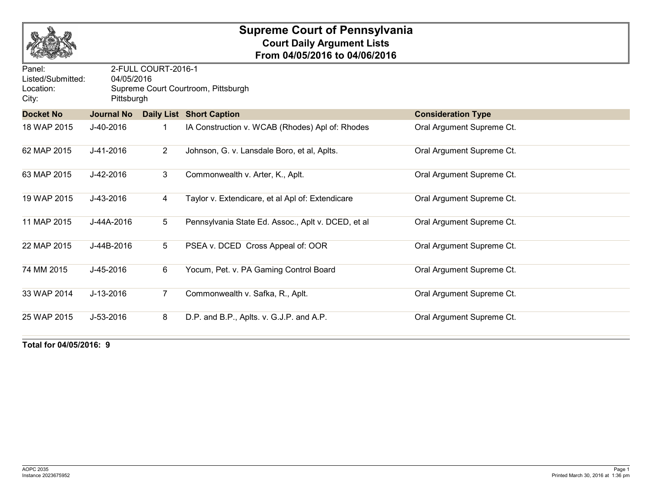

## **Supreme Court of Pennsylvania Court Daily Argument Lists From 04/05/2016 to 04/06/2016**

| Panel:<br>Listed/Submitted:<br>Location:<br>City: | 2-FULL COURT-2016-1<br>04/05/2016<br>Supreme Court Courtroom, Pittsburgh<br>Pittsburgh |                |                                                    |                           |  |  |  |
|---------------------------------------------------|----------------------------------------------------------------------------------------|----------------|----------------------------------------------------|---------------------------|--|--|--|
| <b>Docket No</b>                                  | <b>Journal No</b>                                                                      |                | <b>Daily List Short Caption</b>                    | <b>Consideration Type</b> |  |  |  |
| 18 WAP 2015                                       | J-40-2016                                                                              |                | IA Construction v. WCAB (Rhodes) Apl of: Rhodes    | Oral Argument Supreme Ct. |  |  |  |
| 62 MAP 2015                                       | J-41-2016                                                                              | $\overline{2}$ | Johnson, G. v. Lansdale Boro, et al, Aplts.        | Oral Argument Supreme Ct. |  |  |  |
| 63 MAP 2015                                       | J-42-2016                                                                              | 3              | Commonwealth v. Arter, K., Aplt.                   | Oral Argument Supreme Ct. |  |  |  |
| 19 WAP 2015                                       | J-43-2016                                                                              | 4              | Taylor v. Extendicare, et al Apl of: Extendicare   | Oral Argument Supreme Ct. |  |  |  |
| 11 MAP 2015                                       | J-44A-2016                                                                             | 5              | Pennsylvania State Ed. Assoc., Aplt v. DCED, et al | Oral Argument Supreme Ct. |  |  |  |
| 22 MAP 2015                                       | J-44B-2016                                                                             | 5              | PSEA v. DCED Cross Appeal of: OOR                  | Oral Argument Supreme Ct. |  |  |  |
| 74 MM 2015                                        | J-45-2016                                                                              | 6              | Yocum, Pet. v. PA Gaming Control Board             | Oral Argument Supreme Ct. |  |  |  |
| 33 WAP 2014                                       | J-13-2016                                                                              | 7              | Commonwealth v. Safka, R., Aplt.                   | Oral Argument Supreme Ct. |  |  |  |
| 25 WAP 2015                                       | J-53-2016                                                                              | 8              | D.P. and B.P., Aplts. v. G.J.P. and A.P.           | Oral Argument Supreme Ct. |  |  |  |

**Total for 04/05/2016: 9**